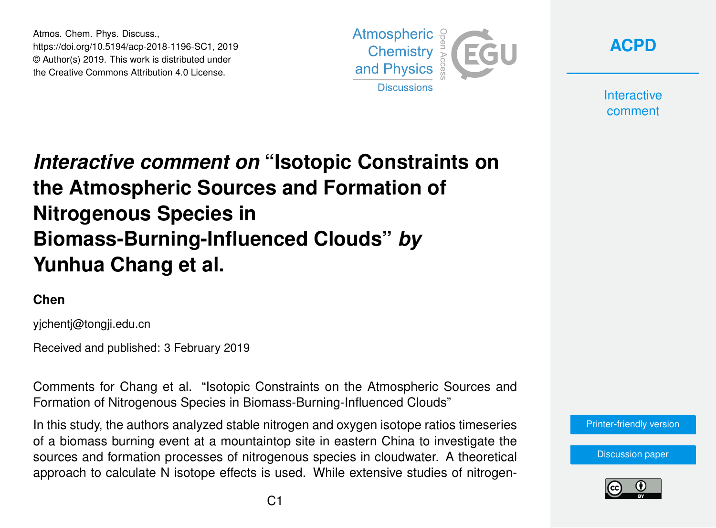Atmos. Chem. Phys. Discuss., https://doi.org/10.5194/acp-2018-1196-SC1, 2019 © Author(s) 2019. This work is distributed under the Creative Commons Attribution 4.0 License.



**[ACPD](https://www.atmos-chem-phys-discuss.net/)**

**Interactive** comment

## *Interactive comment on* **"Isotopic Constraints on the Atmospheric Sources and Formation of Nitrogenous Species in Biomass-Burning-Influenced Clouds"** *by* **Yunhua Chang et al.**

## **Chen**

yjchentj@tongji.edu.cn

Received and published: 3 February 2019

Comments for Chang et al. "Isotopic Constraints on the Atmospheric Sources and Formation of Nitrogenous Species in Biomass-Burning-Influenced Clouds"

In this study, the authors analyzed stable nitrogen and oxygen isotope ratios timeseries of a biomass burning event at a mountaintop site in eastern China to investigate the sources and formation processes of nitrogenous species in cloudwater. A theoretical approach to calculate N isotope effects is used. While extensive studies of nitrogen[Printer-friendly version](https://www.atmos-chem-phys-discuss.net/acp-2018-1196/acp-2018-1196-SC1-print.pdf)

[Discussion paper](https://www.atmos-chem-phys-discuss.net/acp-2018-1196)